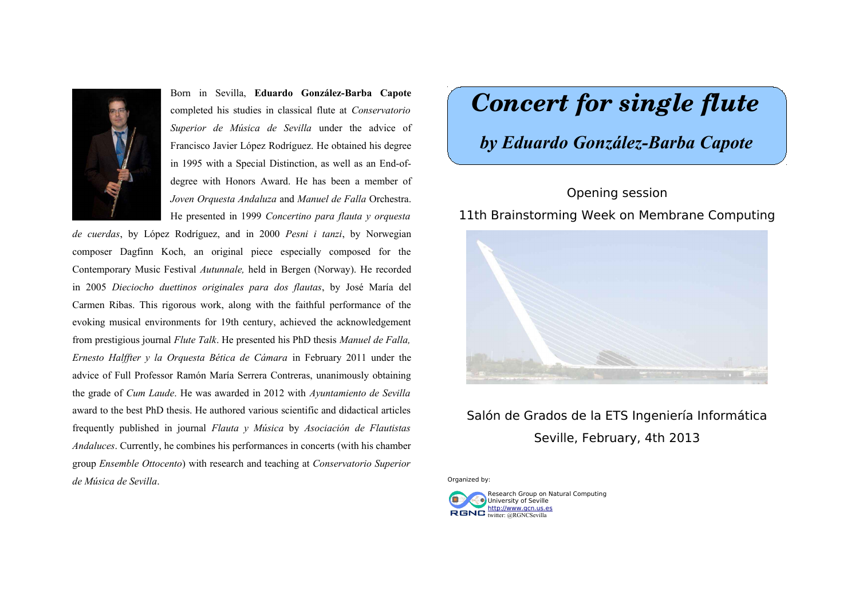

Born in Sevilla, **Eduardo González-Barba Capote** completed his studies in classical flute at *Conservatorio Superior de Música de Sevilla* under the advice of Francisco Javier López Rodríguez. He obtained his degree in 1995 with a Special Distinction, as well as an End-ofdegree with Honors Award. He has been a member of *Joven Orquesta Andaluza* and *Manuel de Falla* Orchestra. He presented in 1999 *Concertino para flauta y orquesta*

*de cuerdas*, by López Rodríguez, and in 2000 *Pesni i tanzi*, by Norwegian composer Dagfinn Koch, an original piece especially composed for the Contemporary Music Festival *Autunnale,* held in Bergen (Norway). He recorded in 2005 *Dieciocho duettinos originales para dos flautas*, by José María del Carmen Ribas. This rigorous work, along with the faithful performance of the evoking musical environments for 19th century, achieved the acknowledgement from prestigious journal *Flute Talk*. He presented his PhD thesis *Manuel de Falla, Ernesto Halffter y la Orquesta Bética de Cámara* in February 2011 under the advice of Full Professor Ramón María Serrera Contreras, unanimously obtaining the grade of *Cum Laude*. He was awarded in 2012 with *Ayuntamiento de Sevilla* award to the best PhD thesis. He authored various scientific and didactical articles frequently published in journal *Flauta y Música* by *Asociación de Flautistas Andaluces*. Currently, he combines his performances in concerts (with his chamber group *Ensemble Ottocento*) with research and teaching at *Conservatorio Superior de Música de Sevilla*.

# *Concert for single flute*

# *by Eduardo González-Barba Capote*

#### Opening session

11th Brainstorming Week on Membrane Computing



## Salón de Grados de la ETS Ingeniería Informática Seville, February, 4th 2013

Organized by: